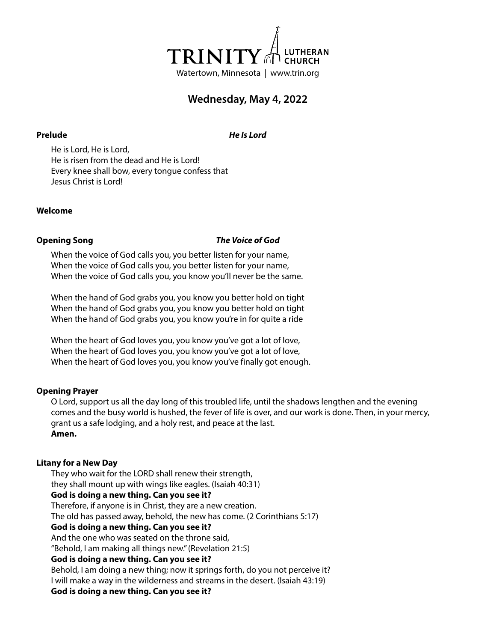

# **Wednesday, May 4, 2022**

**Prelude** *He Is Lord*

He is Lord, He is Lord, He is risen from the dead and He is Lord! Every knee shall bow, every tongue confess that Jesus Christ is Lord!

### **Welcome**

### **Opening Song** *The Voice of God*

When the voice of God calls you, you better listen for your name, When the voice of God calls you, you better listen for your name, When the voice of God calls you, you know you'll never be the same.

When the hand of God grabs you, you know you better hold on tight When the hand of God grabs you, you know you better hold on tight When the hand of God grabs you, you know you're in for quite a ride

When the heart of God loves you, you know you've got a lot of love, When the heart of God loves you, you know you've got a lot of love, When the heart of God loves you, you know you've finally got enough.

### **Opening Prayer**

O Lord, support us all the day long of this troubled life, until the shadows lengthen and the evening comes and the busy world is hushed, the fever of life is over, and our work is done. Then, in your mercy, grant us a safe lodging, and a holy rest, and peace at the last. **Amen.**

### **Litany for a New Day**

They who wait for the LORD shall renew their strength, they shall mount up with wings like eagles. (Isaiah 40:31) **God is doing a new thing. Can you see it?** Therefore, if anyone is in Christ, they are a new creation. The old has passed away, behold, the new has come. (2 Corinthians 5:17) **God is doing a new thing. Can you see it?** And the one who was seated on the throne said, "Behold, I am making all things new." (Revelation 21:5) **God is doing a new thing. Can you see it?** Behold, I am doing a new thing; now it springs forth, do you not perceive it? I will make a way in the wilderness and streams in the desert. (Isaiah 43:19) **God is doing a new thing. Can you see it?**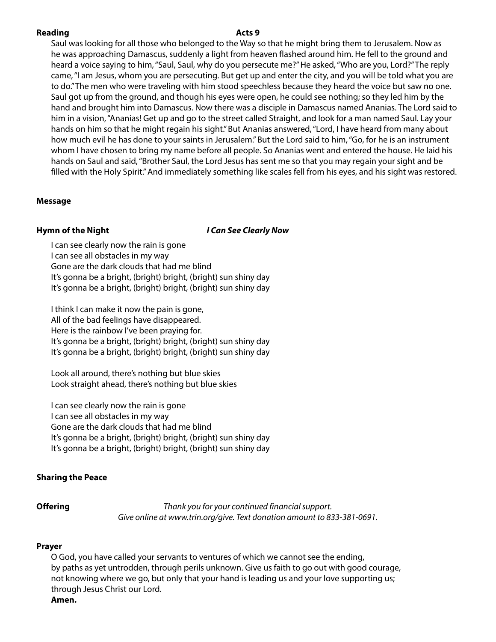### **Reading Acts** 9

Saul was looking for all those who belonged to the Way so that he might bring them to Jerusalem. Now as he was approaching Damascus, suddenly a light from heaven flashed around him. He fell to the ground and heard a voice saying to him, "Saul, Saul, why do you persecute me?" He asked, "Who are you, Lord?" The reply came, "I am Jesus, whom you are persecuting. But get up and enter the city, and you will be told what you are to do." The men who were traveling with him stood speechless because they heard the voice but saw no one. Saul got up from the ground, and though his eyes were open, he could see nothing; so they led him by the hand and brought him into Damascus. Now there was a disciple in Damascus named Ananias. The Lord said to him in a vision, "Ananias! Get up and go to the street called Straight, and look for a man named Saul. Lay your hands on him so that he might regain his sight." But Ananias answered, "Lord, I have heard from many about how much evil he has done to your saints in Jerusalem." But the Lord said to him, "Go, for he is an instrument whom I have chosen to bring my name before all people. So Ananias went and entered the house. He laid his hands on Saul and said, "Brother Saul, the Lord Jesus has sent me so that you may regain your sight and be filled with the Holy Spirit." And immediately something like scales fell from his eyes, and his sight was restored.

### **Message**

## **Hymn of the Night** *I Can See Clearly Now*

I can see clearly now the rain is gone I can see all obstacles in my way Gone are the dark clouds that had me blind It's gonna be a bright, (bright) bright, (bright) sun shiny day It's gonna be a bright, (bright) bright, (bright) sun shiny day

I think I can make it now the pain is gone, All of the bad feelings have disappeared. Here is the rainbow I've been praying for. It's gonna be a bright, (bright) bright, (bright) sun shiny day It's gonna be a bright, (bright) bright, (bright) sun shiny day

Look all around, there's nothing but blue skies Look straight ahead, there's nothing but blue skies

I can see clearly now the rain is gone I can see all obstacles in my way Gone are the dark clouds that had me blind It's gonna be a bright, (bright) bright, (bright) sun shiny day It's gonna be a bright, (bright) bright, (bright) sun shiny day

### **Sharing the Peace**

**Offering** *Thank you for your continued financial support. Give online at www.trin.org/give. Text donation amount to 833-381-0691.*

### **Prayer**

O God, you have called your servants to ventures of which we cannot see the ending, by paths as yet untrodden, through perils unknown. Give us faith to go out with good courage, not knowing where we go, but only that your hand is leading us and your love supporting us; through Jesus Christ our Lord.

### **Amen.**